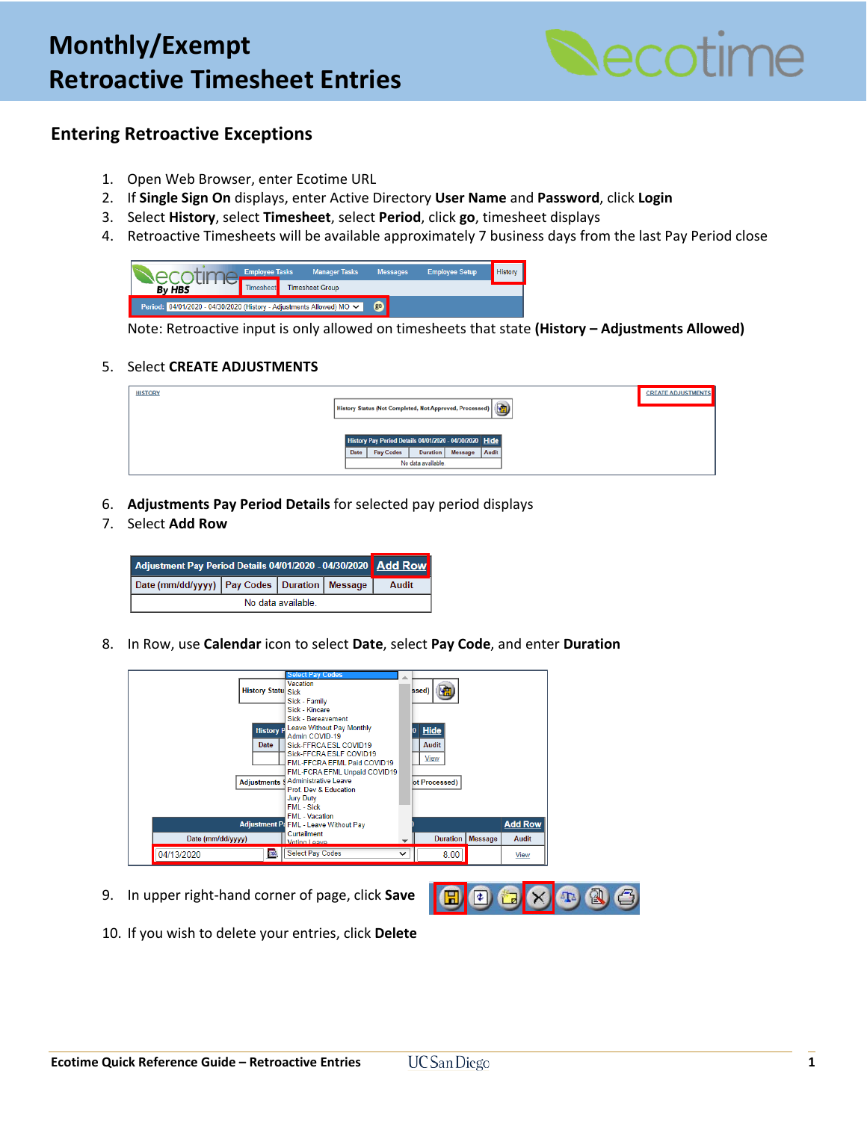

## **Entering Retroactive Exceptions**

- 1. Open Web Browser, enter Ecotime URL
- 2. If **Single Sign On** displays, enter Active Directory **User Name** and **Password**, click **Login**
- 3. Select **History**, select **Timesheet**, select **Period**, click **go**, timesheet displays
- 4. Retroactive Timesheets will be available approximately 7 business days from the last Pay Period close

|                                                                      | <b>Employee Tasks</b> | <b>Manager Tasks</b>   | <b>Messages</b> | <b>Employee Setup</b> | History |
|----------------------------------------------------------------------|-----------------------|------------------------|-----------------|-----------------------|---------|
| <b>By HBS</b>                                                        | l imesheet            | <b>Timesheet Group</b> |                 |                       |         |
| Period: 04/01/2020 - 04/30/2020 (History - Adjustments Allowed) MO V |                       | g <sub>0</sub>         |                 |                       |         |

Note: Retroactive input is only allowed on timesheets that state **(History – Adjustments Allowed)**

### 5. Select **CREATE ADJUSTMENTS**

| <b>HISTORY</b> |      |                                                         |                                |         |       | <b>CREATE ADJUSTMENTS</b> |
|----------------|------|---------------------------------------------------------|--------------------------------|---------|-------|---------------------------|
|                |      | History Status (Not Completed, Not Approved, Processed) |                                |         |       |                           |
|                |      | History Pay Period Details 04/01/2020 - 04/30/2020 Hide |                                |         |       |                           |
|                | Date | Pay Codes                                               | Duration<br>No data available. | Message | Audit |                           |
|                |      |                                                         |                                |         |       |                           |

6. **Adjustments Pay Period Details** for selected pay period displays

### 7. Select **Add Row**

| Adjustment Pay Period Details 04/01/2020 - 04/30/2020   Add Row |  |  |  |       |  |  |
|-----------------------------------------------------------------|--|--|--|-------|--|--|
| Date (mm/dd/yyyy)   Pay Codes   Duration   Message              |  |  |  | Audit |  |  |
| No data available.                                              |  |  |  |       |  |  |

8. In Row, use **Calendar** icon to select **Date**, select **Pay Code**, and enter **Duration**

|                           | <b>Select Pay Codes</b>                                                                                                           |                                         |                |                |
|---------------------------|-----------------------------------------------------------------------------------------------------------------------------------|-----------------------------------------|----------------|----------------|
| <b>History Statu</b> Sick | <b>Vacation</b><br>Sick - Family                                                                                                  | 噛<br>ssed)                              |                |                |
| <b>History P</b><br>Date  | Sick - Kincare<br>Sick - Bereavement<br>Leave Without Pay Monthly<br>Admin COVID-19<br>Sick-FFRCA ESL COVID19                     | <b>Hide</b><br>$\bf{0}$<br><b>Audit</b> |                |                |
| <b>Adjustments</b> \$     | Sick-FFCRA ESLF COVID19<br>FML-FFCRA EFML Paid COVID19<br>FML-FCRA EFML Unpaid COVID19<br>Administrative Leave                    | View<br>ot Processed)                   |                |                |
|                           | Prof. Dev & Education.<br><b>Jury Duty</b><br>FMI - Sick<br><b>FMI</b> - Vacation<br><b>Adjustment P: FML - Leave Without Pay</b> |                                         |                | <b>Add Row</b> |
| Date (mm/dd/yyyy)         | Curtailment<br>Voting Leave                                                                                                       | <b>Duration</b>                         | <b>Message</b> | <b>Audit</b>   |
| <b>SER</b><br>04/13/2020  | <b>Select Pay Codes</b>                                                                                                           | 8.00                                    |                | View           |

9. In upper right-hand corner of page, click **Save**



10. If you wish to delete your entries, click **Delete**